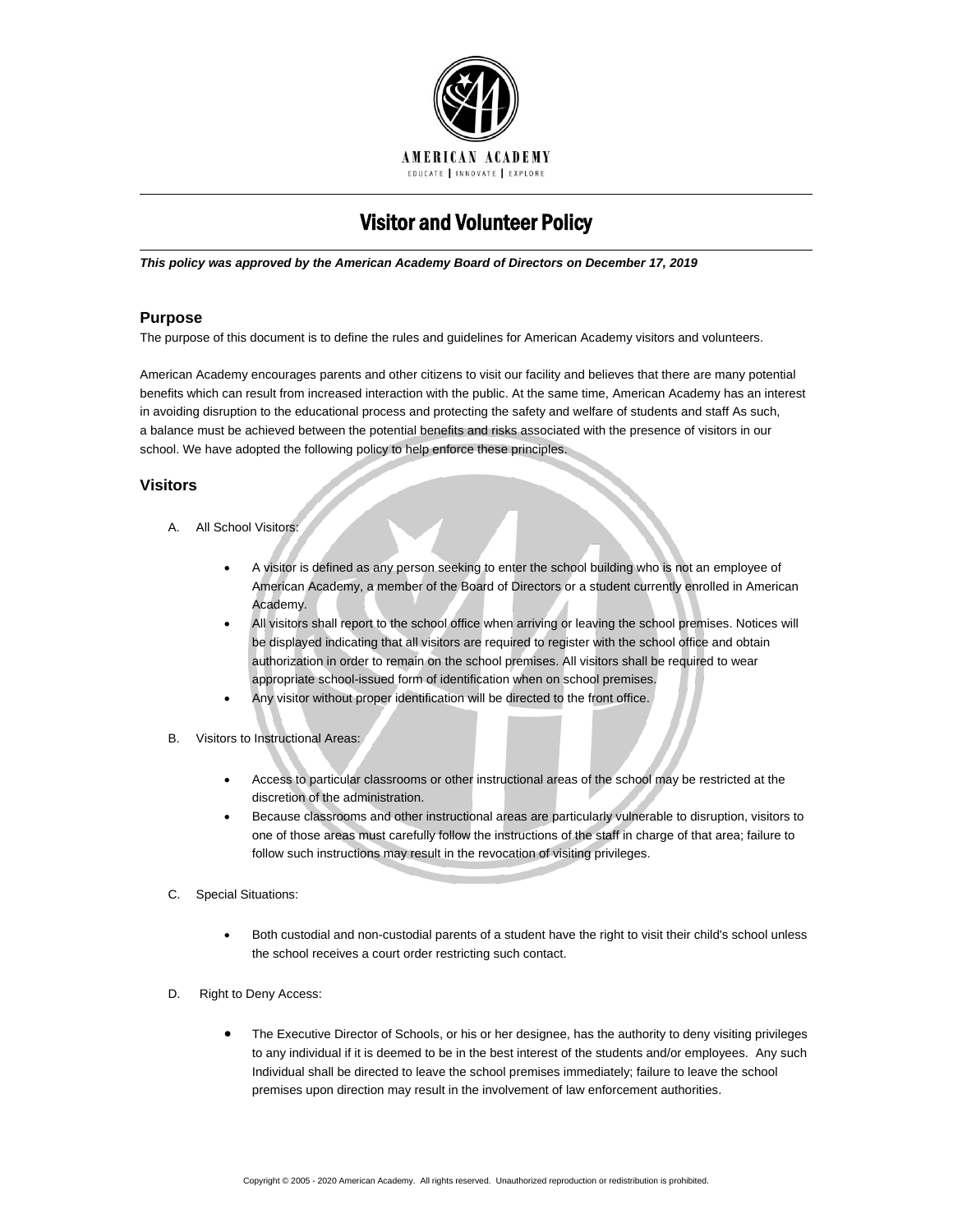

# Visitor and Volunteer Policy

*This policy was approved by the American Academy Board of Directors on December 17, 2019*

# **Purpose**

The purpose of this document is to define the rules and guidelines for American Academy visitors and volunteers.

American Academy encourages parents and other citizens to visit our facility and believes that there are many potential benefits which can result from increased interaction with the public. At the same time, American Academy has an interest in avoiding disruption to the educational process and protecting the safety and welfare of students and staff As such, a balance must be achieved between the potential benefits and risks associated with the presence of visitors in our school. We have adopted the following policy to help enforce these principles.

# **Visitors**

- A. All School Visitors:
	- A visitor is defined as any person seeking to enter the school building who is not an employee of American Academy, a member of the Board of Directors or a student currently enrolled in American Academy.
	- All visitors shall report to the school office when arriving or leaving the school premises. Notices will be displayed indicating that all visitors are required to register with the school office and obtain authorization in order to remain on the school premises. All visitors shall be required to wear appropriate school-issued form of identification when on school premises.
	- Any visitor without proper identification will be directed to the front office.
- B. Visitors to Instructional Areas:
	- Access to particular classrooms or other instructional areas of the school may be restricted at the discretion of the administration.
	- Because classrooms and other instructional areas are particularly vulnerable to disruption, visitors to one of those areas must carefully follow the instructions of the staff in charge of that area; failure to follow such instructions may result in the revocation of visiting privileges.

## C. Special Situations:

- Both custodial and non-custodial parents of a student have the right to visit their child's school unless the school receives a court order restricting such contact.
- D. Right to Deny Access:
	- The Executive Director of Schools, or his or her designee, has the authority to deny visiting privileges to any individual if it is deemed to be in the best interest of the students and/or employees. Any such Individual shall be directed to leave the school premises immediately; failure to leave the school premises upon direction may result in the involvement of law enforcement authorities.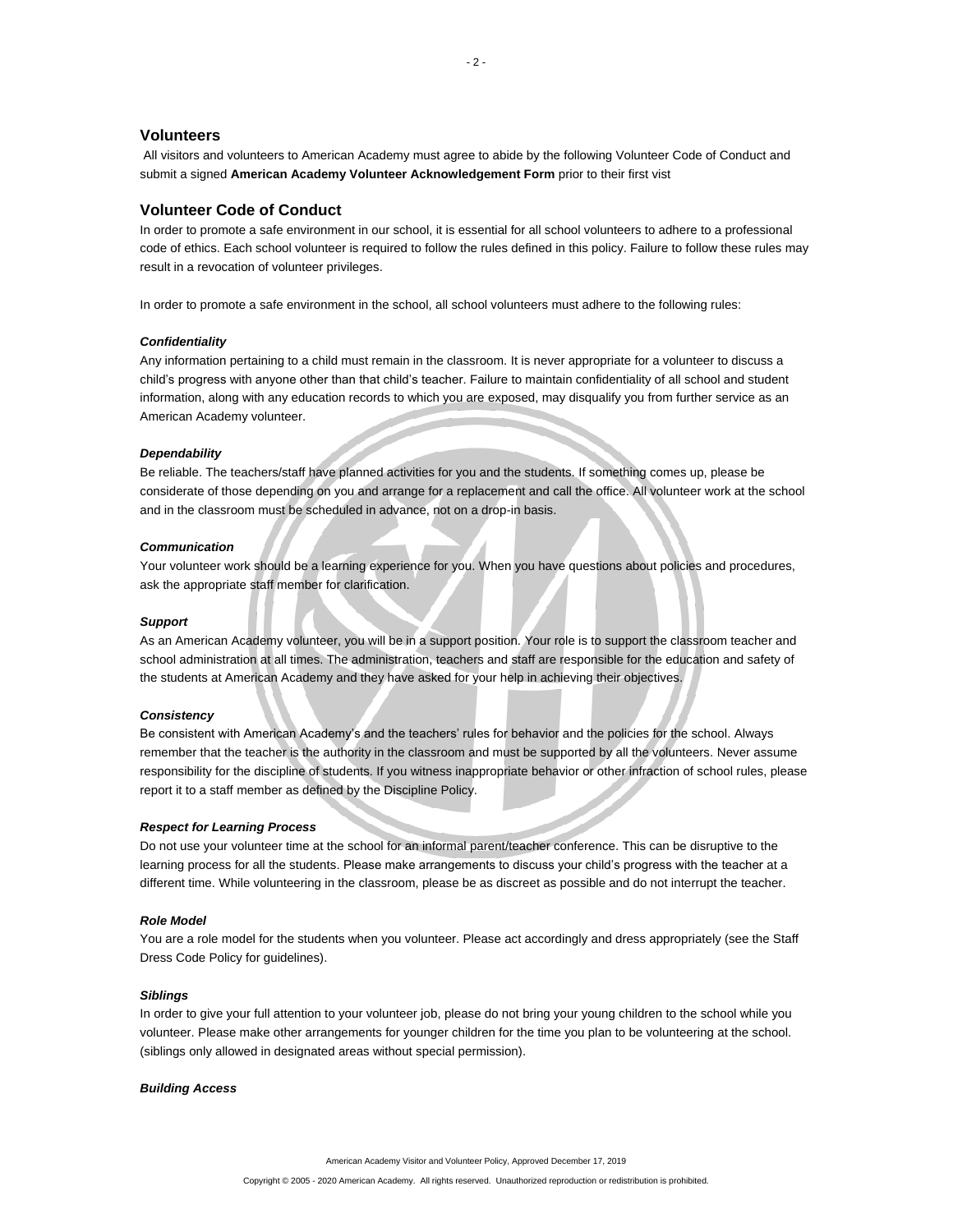#### **Volunteers**

All visitors and volunteers to American Academy must agree to abide by the following Volunteer Code of Conduct and submit a signed **American Academy Volunteer Acknowledgement Form** prior to their first vist

## **Volunteer Code of Conduct**

In order to promote a safe environment in our school, it is essential for all school volunteers to adhere to a professional code of ethics. Each school volunteer is required to follow the rules defined in this policy. Failure to follow these rules may result in a revocation of volunteer privileges.

In order to promote a safe environment in the school, all school volunteers must adhere to the following rules:

## *Confidentiality*

Any information pertaining to a child must remain in the classroom. It is never appropriate for a volunteer to discuss a child's progress with anyone other than that child's teacher. Failure to maintain confidentiality of all school and student information, along with any education records to which you are exposed, may disqualify you from further service as an American Academy volunteer.

### *Dependability*

Be reliable. The teachers/staff have planned activities for you and the students. If something comes up, please be considerate of those depending on you and arrange for a replacement and call the office. All volunteer work at the school and in the classroom must be scheduled in advance, not on a drop-in basis.

## *Communication*

Your volunteer work should be a learning experience for you. When you have questions about policies and procedures, ask the appropriate staff member for clarification.

#### *Support*

As an American Academy volunteer, you will be in a support position. Your role is to support the classroom teacher and school administration at all times. The administration, teachers and staff are responsible for the education and safety of the students at American Academy and they have asked for your help in achieving their objectives.

#### *Consistency*

Be consistent with American Academy's and the teachers' rules for behavior and the policies for the school. Always remember that the teacher is the authority in the classroom and must be supported by all the volunteers. Never assume responsibility for the discipline of students. If you witness inappropriate behavior or other infraction of school rules, please report it to a staff member as defined by the Discipline Policy.

#### *Respect for Learning Process*

Do not use your volunteer time at the school for an informal parent/teacher conference. This can be disruptive to the learning process for all the students. Please make arrangements to discuss your child's progress with the teacher at a different time. While volunteering in the classroom, please be as discreet as possible and do not interrupt the teacher.

#### *Role Model*

You are a role model for the students when you volunteer. Please act accordingly and dress appropriately (see the Staff Dress Code Policy for guidelines).

#### *Siblings*

In order to give your full attention to your volunteer job, please do not bring your young children to the school while you volunteer. Please make other arrangements for younger children for the time you plan to be volunteering at the school. (siblings only allowed in designated areas without special permission).

#### *Building Access*